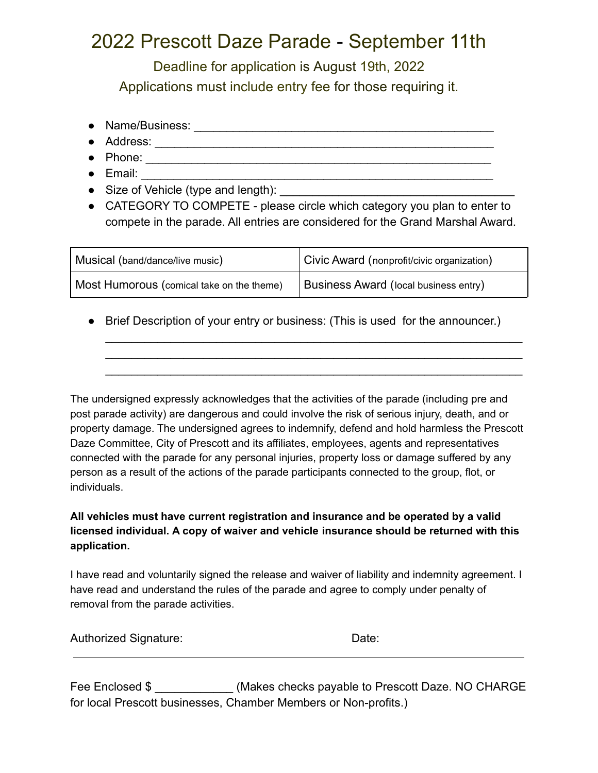## 2022 Prescott Daze Parade - September 11th

Deadline for application is August 19th, 2022 Applications must include entry fee for those requiring it.

- Name/Business: \_\_\_\_\_\_\_\_\_\_\_\_\_\_\_\_\_\_\_\_\_\_\_\_\_\_\_\_\_\_\_\_\_\_\_\_\_\_\_\_\_\_\_\_\_\_
- Address: \_\_\_\_\_\_\_\_\_\_\_\_\_\_\_\_\_\_\_\_\_\_\_\_\_\_\_\_\_\_\_\_\_\_\_\_\_\_\_\_\_\_\_\_\_\_\_\_\_\_\_\_
- Phone: \_\_\_\_\_\_\_\_\_\_\_\_\_\_\_\_\_\_\_\_\_\_\_\_\_\_\_\_\_\_\_\_\_\_\_\_\_\_\_\_\_\_\_\_\_\_\_\_\_\_\_\_\_
- Email: \_\_\_\_\_\_\_\_\_\_\_\_\_\_\_\_\_\_\_\_\_\_\_\_\_\_\_\_\_\_\_\_\_\_\_\_\_\_\_\_\_\_\_\_\_\_\_\_\_\_\_\_\_\_
- Size of Vehicle (type and length): \_\_\_\_\_\_\_\_\_\_\_\_\_\_\_\_\_\_\_\_\_\_\_\_\_\_\_\_\_\_\_\_\_\_\_\_
- CATEGORY TO COMPETE please circle which category you plan to enter to compete in the parade. All entries are considered for the Grand Marshal Award.

| Musical (band/dance/live music)           | Civic Award (nonprofit/civic organization)   |
|-------------------------------------------|----------------------------------------------|
| Most Humorous (comical take on the theme) | <b>Business Award (local business entry)</b> |

• Brief Description of your entry or business: (This is used for the announcer.)

 $\mathcal{L}_\text{max} = \mathcal{L}_\text{max} = \mathcal{L}_\text{max} = \mathcal{L}_\text{max} = \mathcal{L}_\text{max} = \mathcal{L}_\text{max} = \mathcal{L}_\text{max} = \mathcal{L}_\text{max} = \mathcal{L}_\text{max} = \mathcal{L}_\text{max} = \mathcal{L}_\text{max} = \mathcal{L}_\text{max} = \mathcal{L}_\text{max} = \mathcal{L}_\text{max} = \mathcal{L}_\text{max} = \mathcal{L}_\text{max} = \mathcal{L}_\text{max} = \mathcal{L}_\text{max} = \mathcal{$  $\mathcal{L}_\text{max} = \mathcal{L}_\text{max} = \mathcal{L}_\text{max} = \mathcal{L}_\text{max} = \mathcal{L}_\text{max} = \mathcal{L}_\text{max} = \mathcal{L}_\text{max} = \mathcal{L}_\text{max} = \mathcal{L}_\text{max} = \mathcal{L}_\text{max} = \mathcal{L}_\text{max} = \mathcal{L}_\text{max} = \mathcal{L}_\text{max} = \mathcal{L}_\text{max} = \mathcal{L}_\text{max} = \mathcal{L}_\text{max} = \mathcal{L}_\text{max} = \mathcal{L}_\text{max} = \mathcal{$  $\mathcal{L}_\text{max} = \mathcal{L}_\text{max} = \mathcal{L}_\text{max} = \mathcal{L}_\text{max} = \mathcal{L}_\text{max} = \mathcal{L}_\text{max} = \mathcal{L}_\text{max} = \mathcal{L}_\text{max} = \mathcal{L}_\text{max} = \mathcal{L}_\text{max} = \mathcal{L}_\text{max} = \mathcal{L}_\text{max} = \mathcal{L}_\text{max} = \mathcal{L}_\text{max} = \mathcal{L}_\text{max} = \mathcal{L}_\text{max} = \mathcal{L}_\text{max} = \mathcal{L}_\text{max} = \mathcal{$ 

The undersigned expressly acknowledges that the activities of the parade (including pre and post parade activity) are dangerous and could involve the risk of serious injury, death, and or property damage. The undersigned agrees to indemnify, defend and hold harmless the Prescott Daze Committee, City of Prescott and its affiliates, employees, agents and representatives connected with the parade for any personal injuries, property loss or damage suffered by any person as a result of the actions of the parade participants connected to the group, flot, or individuals.

## **All vehicles must have current registration and insurance and be operated by a valid licensed individual. A copy of waiver and vehicle insurance should be returned with this application.**

I have read and voluntarily signed the release and waiver of liability and indemnity agreement. I have read and understand the rules of the parade and agree to comply under penalty of removal from the parade activities.

| Authorized Signature: | Date: |
|-----------------------|-------|
|-----------------------|-------|

Fee Enclosed \$  $(Make \text{Recks payable to Present Dave. NO CHARGE)$ for local Prescott businesses, Chamber Members or Non-profits.)